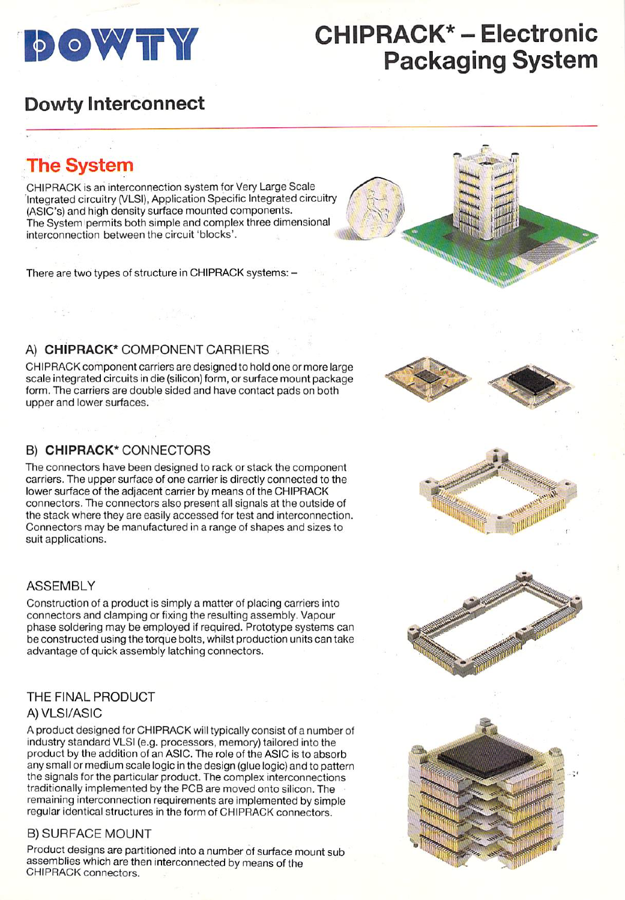

# **DOWTY CHIPRACK\* - Electronic** Packaging System

 $\mathbf{u}$ 

### Dowty Interconnect

The System

CHIPRACK is an interconnection system for Very Large Scale "Integrated circuitry (VLSI), Application Specific Integrated circuitry (ASIC's) and high density surface mounted components. The System permits both simple and complex three dimensional interconnection between the circuit 'blocks'.

There are two types of structure in CHIPRACK systems: -

#### A) CHIPRACK\* COMPONENT CARRIERS

CHIPRACK component carriers are designed to hold one or more large scale integrated circuits in die (silicon) form, or surface mount package form. The carriers are double sided and have contact pads on both upper and lower surfaces.

### B) CHIPRACK\* CONNECTORS

The connectors have been designed to rack or stack the component carriers. The upper surface of one carrier is directly connected to the lower surface of the adjacent carrier by means of the CHIPRACK connectors. The connectors also present all signals at the outside of the stack where they are easily accessed for test and interconnection. Connectors may be manufactured in a range of shapes and sizes to suit applications.

#### ASSEMBLY

Construction of a product is simply a matter of placing carriers into connectors and clamping or fixing the resulting assembly. Vapour phase soldering may be employed if required. Prototype systems can be constructed using the torque bolts, whilst production units can take advantage of quick assembly latching connectors.

### THE FINAL PRODUCT

#### A) VLSI/ASIC

A product designed for CHIPRACK will typically consist of a number of industry standard VLSI (e.g. processors, memory) tailored into the product by the addition of an ASIC. The role of the ASIC is to absorb any small or medium scale logic in the design (glue logic) and to pattern the signals for the particular product. The complex interconnections traditionally implemented by the PCB are moved onto silicon. The remaining interconnection requirements are implemented by simple regular identical structures in the form of CHIPRACK connectors.

#### B) SURFACE MOUNT

Product designs are partitioned into a number of surface mount sub assemblies which are then interconnected by means of the CHIPRACK connectors.